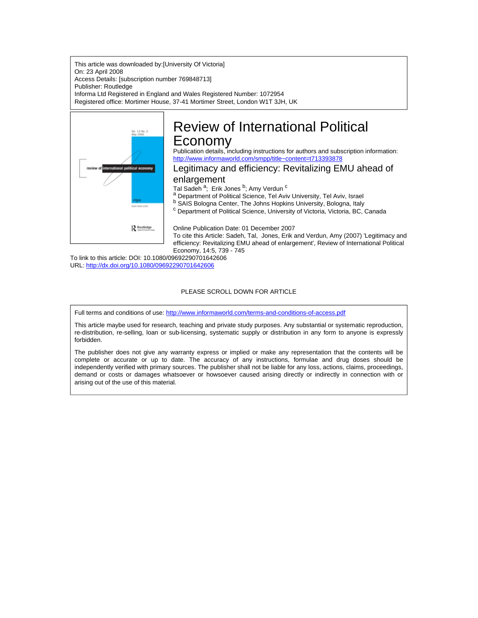This article was downloaded by:[University Of Victoria] On: 23 April 2008 Access Details: [subscription number 769848713] Publisher: Routledge Informa Ltd Registered in England and Wales Registered Number: 1072954

Registered office: Mortimer House, 37-41 Mortimer Street, London W1T 3JH, UK



# Review of International Political Economy

Publication details, including instructions for authors and subscription information: <http://www.informaworld.com/smpp/title~content=t713393878>

## Legitimacy and efficiency: Revitalizing EMU ahead of

#### enlargement

Tal Sadeh<sup>a</sup>; Erik Jones <sup>b</sup>; Amy Verdun <sup>c</sup>

<sup>a</sup> Department of Political Science, Tel Aviv University, Tel Aviv, Israel

b SAIS Bologna Center, The Johns Hopkins University, Bologna, Italy

<sup>c</sup> Department of Political Science, University of Victoria, Victoria, BC, Canada

Online Publication Date: 01 December 2007

To cite this Article: Sadeh, Tal, Jones, Erik and Verdun, Amy (2007) 'Legitimacy and efficiency: Revitalizing EMU ahead of enlargement', Review of International Political Economy, 14:5, 739 - 745

To link to this article: DOI: 10.1080/09692290701642606 URL: <http://dx.doi.org/10.1080/09692290701642606>

#### PLEASE SCROLL DOWN FOR ARTICLE

Full terms and conditions of use: <http://www.informaworld.com/terms-and-conditions-of-access.pdf>

This article maybe used for research, teaching and private study purposes. Any substantial or systematic reproduction, re-distribution, re-selling, loan or sub-licensing, systematic supply or distribution in any form to anyone is expressly forbidden.

The publisher does not give any warranty express or implied or make any representation that the contents will be complete or accurate or up to date. The accuracy of any instructions, formulae and drug doses should be independently verified with primary sources. The publisher shall not be liable for any loss, actions, claims, proceedings, demand or costs or damages whatsoever or howsoever caused arising directly or indirectly in connection with or arising out of the use of this material.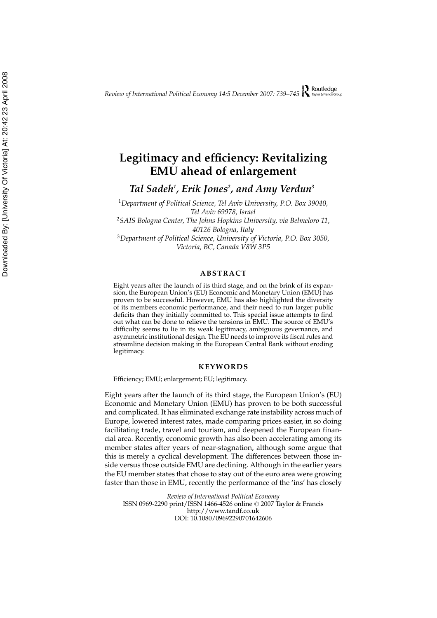# **Legitimacy and efficiency: Revitalizing EMU ahead of enlargement**

*Tal Sadeh1 , Erik Jones2 , and Amy Verdun3*

<sup>1</sup>*Department of Political Science, Tel Aviv University, P.O. Box 39040, Tel Aviv 69978, Israel* <sup>2</sup>*SAIS Bologna Center, The Johns Hopkins University, via Belmeloro 11, 40126 Bologna, Italy* <sup>3</sup>*Department of Political Science, University of Victoria, P.O. Box 3050, Victoria, BC, Canada V8W 3P5*

#### **ABSTRACT**

Eight years after the launch of its third stage, and on the brink of its expansion, the European Union's (EU) Economic and Monetary Union (EMU) has proven to be successful. However, EMU has also highlighted the diversity of its members economic performance, and their need to run larger public deficits than they initially committed to. This special issue attempts to find out what can be done to relieve the tensions in EMU. The source of EMU's difficulty seems to lie in its weak legitimacy, ambiguous gevernance, and asymmetric institutional design. The EU needs to improve its fiscal rules and streamline decision making in the European Central Bank without eroding legitimacy.

### **KEYWORDS**

Efficiency; EMU; enlargement; EU; legitimacy.

Eight years after the launch of its third stage, the European Union's (EU) Economic and Monetary Union (EMU) has proven to be both successful and complicated. It has eliminated exchange rate instability across much of Europe, lowered interest rates, made comparing prices easier, in so doing facilitating trade, travel and tourism, and deepened the European financial area. Recently, economic growth has also been accelerating among its member states after years of near-stagnation, although some argue that this is merely a cyclical development. The differences between those inside versus those outside EMU are declining. Although in the earlier years the EU member states that chose to stay out of the euro area were growing faster than those in EMU, recently the performance of the 'ins' has closely

*Review of International Political Economy* ISSN 0969-2290 print/ISSN 1466-4526 online © 2007 Taylor & Francis http://www.tandf.co.uk DOI: 10.1080/09692290701642606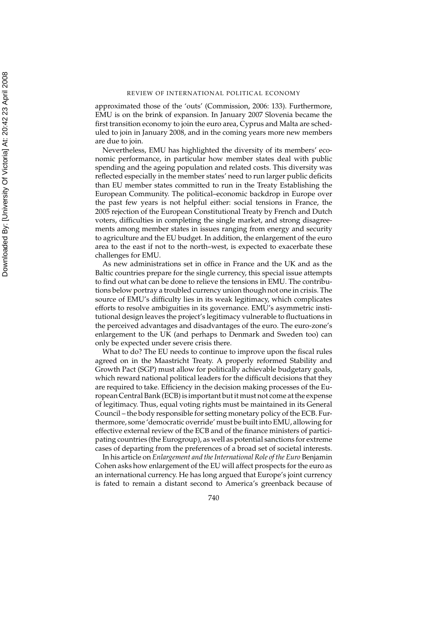### REVIEW OF INTERNATIONAL POLITICAL ECONOMY

approximated those of the 'outs' (Commission, 2006: 133). Furthermore, EMU is on the brink of expansion. In January 2007 Slovenia became the first transition economy to join the euro area, Cyprus and Malta are scheduled to join in January 2008, and in the coming years more new members are due to join.

Nevertheless, EMU has highlighted the diversity of its members' economic performance, in particular how member states deal with public spending and the ageing population and related costs. This diversity was reflected especially in the member states' need to run larger public deficits than EU member states committed to run in the Treaty Establishing the European Community. The political–economic backdrop in Europe over the past few years is not helpful either: social tensions in France, the 2005 rejection of the European Constitutional Treaty by French and Dutch voters, difficulties in completing the single market, and strong disagreements among member states in issues ranging from energy and security to agriculture and the EU budget. In addition, the enlargement of the euro area to the east if not to the north–west, is expected to exacerbate these challenges for EMU.

As new administrations set in office in France and the UK and as the Baltic countries prepare for the single currency, this special issue attempts to find out what can be done to relieve the tensions in EMU. The contributions below portray a troubled currency union though not one in crisis. The source of EMU's difficulty lies in its weak legitimacy, which complicates efforts to resolve ambiguities in its governance. EMU's asymmetric institutional design leaves the project's legitimacy vulnerable to fluctuations in the perceived advantages and disadvantages of the euro. The euro-zone's enlargement to the UK (and perhaps to Denmark and Sweden too) can only be expected under severe crisis there.

What to do? The EU needs to continue to improve upon the fiscal rules agreed on in the Maastricht Treaty. A properly reformed Stability and Growth Pact (SGP) must allow for politically achievable budgetary goals, which reward national political leaders for the difficult decisions that they are required to take. Efficiency in the decision making processes of the European Central Bank (ECB) is important but it must not come at the expense of legitimacy. Thus, equal voting rights must be maintained in its General Council – the body responsible for setting monetary policy of the ECB. Furthermore, some 'democratic override' must be built into EMU, allowing for effective external review of the ECB and of the finance ministers of participating countries (the Eurogroup), as well as potential sanctions for extreme cases of departing from the preferences of a broad set of societal interests.

In his article on *Enlargement and the International Role of the Euro* Benjamin Cohen asks how enlargement of the EU will affect prospects for the euro as an international currency. He has long argued that Europe's joint currency is fated to remain a distant second to America's greenback because of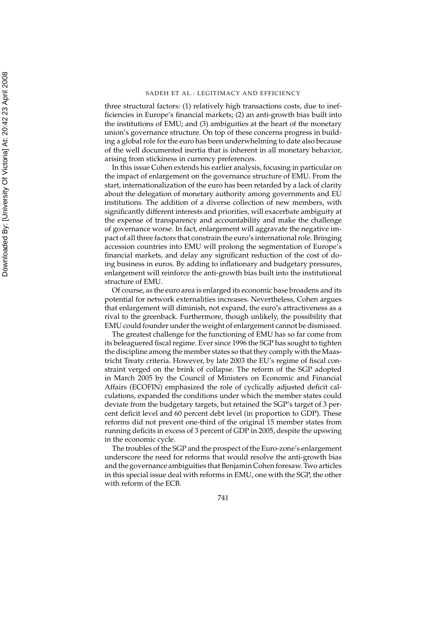### SADEH ET AL.: LEGITIMACY AND EFFICIENCY

three structural factors: (1) relatively high transactions costs, due to inefficiencies in Europe's financial markets; (2) an anti-growth bias built into the institutions of EMU; and (3) ambiguities at the heart of the monetary union's governance structure. On top of these concerns progress in building a global role for the euro has been underwhelming to date also because of the well documented inertia that is inherent in all monetary behavior, arising from stickiness in currency preferences.

In this issue Cohen extends his earlier analysis, focusing in particular on the impact of enlargement on the governance structure of EMU. From the start, internationalization of the euro has been retarded by a lack of clarity about the delegation of monetary authority among governments and EU institutions. The addition of a diverse collection of new members, with significantly different interests and priorities, will exacerbate ambiguity at the expense of transparency and accountability and make the challenge of governance worse. In fact, enlargement will aggravate the negative impact of all three factors that constrain the euro's international role. Bringing accession countries into EMU will prolong the segmentation of Europe's financial markets, and delay any significant reduction of the cost of doing business in euros. By adding to inflationary and budgetary pressures, enlargement will reinforce the anti-growth bias built into the institutional structure of EMU.

Of course, as the euro area is enlarged its economic base broadens and its potential for network externalities increases. Nevertheless, Cohen argues that enlargement will diminish, not expand, the euro's attractiveness as a rival to the greenback. Furthermore, though unlikely, the possibility that EMU could founder under the weight of enlargement cannot be dismissed.

The greatest challenge for the functioning of EMU has so far come from its beleaguered fiscal regime. Ever since 1996 the SGP has sought to tighten the discipline among the member states so that they comply with the Maastricht Treaty criteria. However, by late 2003 the EU's regime of fiscal constraint verged on the brink of collapse. The reform of the SGP adopted in March 2005 by the Council of Ministers on Economic and Financial Affairs (ECOFIN) emphasized the role of cyclically adjusted deficit calculations, expanded the conditions under which the member states could deviate from the budgetary targets, but retained the SGP's target of 3 percent deficit level and 60 percent debt level (in proportion to GDP). These reforms did not prevent one-third of the original 15 member states from running deficits in excess of 3 percent of GDP in 2005, despite the upswing in the economic cycle.

The troubles of the SGP and the prospect of the Euro-zone's enlargement underscore the need for reforms that would resolve the anti-growth bias and the governance ambiguities that Benjamin Cohen foresaw. Two articles in this special issue deal with reforms in EMU, one with the SGP, the other with reform of the ECB.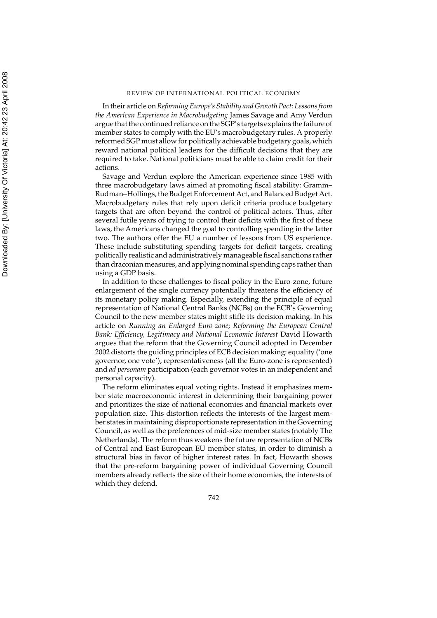### REVIEW OF INTERNATIONAL POLITICAL ECONOMY

In their article on*Reforming Europe's Stability and Growth Pact: Lessons from the American Experience in Macrobudgeting* James Savage and Amy Verdun argue that the continued reliance on the SGP's targets explains the failure of member states to comply with the EU's macrobudgetary rules. A properly reformed SGP must allow for politically achievable budgetary goals, which reward national political leaders for the difficult decisions that they are required to take. National politicians must be able to claim credit for their actions.

Savage and Verdun explore the American experience since 1985 with three macrobudgetary laws aimed at promoting fiscal stability: Gramm– Rudman–Hollings, the Budget Enforcement Act, and Balanced Budget Act. Macrobudgetary rules that rely upon deficit criteria produce budgetary targets that are often beyond the control of political actors. Thus, after several futile years of trying to control their deficits with the first of these laws, the Americans changed the goal to controlling spending in the latter two. The authors offer the EU a number of lessons from US experience. These include substituting spending targets for deficit targets, creating politically realistic and administratively manageable fiscal sanctions rather than draconian measures, and applying nominal spending caps rather than using a GDP basis.

In addition to these challenges to fiscal policy in the Euro-zone, future enlargement of the single currency potentially threatens the efficiency of its monetary policy making. Especially, extending the principle of equal representation of National Central Banks (NCBs) on the ECB's Governing Council to the new member states might stifle its decision making. In his article on *Running an Enlarged Euro-zone; Reforming the European Central Bank: Efficiency, Legitimacy and National Economic Interest* David Howarth argues that the reform that the Governing Council adopted in December 2002 distorts the guiding principles of ECB decision making: equality ('one governor, one vote'), representativeness (all the Euro-zone is represented) and *ad personam* participation (each governor votes in an independent and personal capacity).

The reform eliminates equal voting rights. Instead it emphasizes member state macroeconomic interest in determining their bargaining power and prioritizes the size of national economies and financial markets over population size. This distortion reflects the interests of the largest member states in maintaining disproportionate representation in the Governing Council, as well as the preferences of mid-size member states (notably The Netherlands). The reform thus weakens the future representation of NCBs of Central and East European EU member states, in order to diminish a structural bias in favor of higher interest rates. In fact, Howarth shows that the pre-reform bargaining power of individual Governing Council members already reflects the size of their home economies, the interests of which they defend.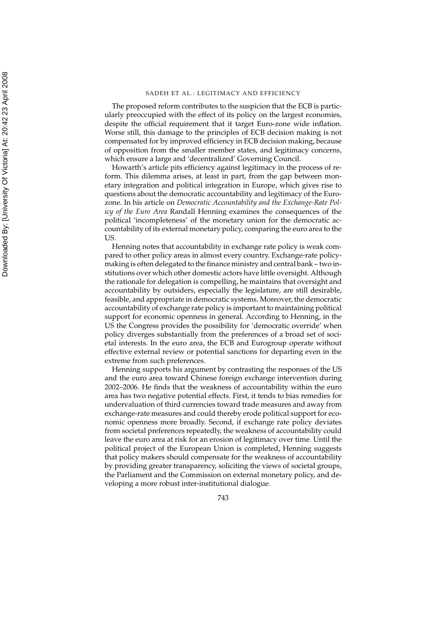#### SADEH ET AL.: LEGITIMACY AND EFFICIENCY

The proposed reform contributes to the suspicion that the ECB is particularly preoccupied with the effect of its policy on the largest economies, despite the official requirement that it target Euro-zone wide inflation. Worse still, this damage to the principles of ECB decision making is not compensated for by improved efficiency in ECB decision making, because of opposition from the smaller member states, and legitimacy concerns, which ensure a large and 'decentralized' Governing Council.

Howarth's article pits efficiency against legitimacy in the process of reform. This dilemma arises, at least in part, from the gap between monetary integration and political integration in Europe, which gives rise to questions about the democratic accountability and legitimacy of the Eurozone. In his article on *Democratic Accountability and the Exchange-Rate Policy of the Euro Area* Randall Henning examines the consequences of the political 'incompleteness' of the monetary union for the democratic accountability of its external monetary policy, comparing the euro area to the US.

Henning notes that accountability in exchange rate policy is weak compared to other policy areas in almost every country. Exchange-rate policymaking is often delegated to the finance ministry and central bank – two institutions over which other domestic actors have little oversight. Although the rationale for delegation is compelling, he maintains that oversight and accountability by outsiders, especially the legislature, are still desirable, feasible, and appropriate in democratic systems. Moreover, the democratic accountability of exchange rate policy is important to maintaining political support for economic openness in general. According to Henning, in the US the Congress provides the possibility for 'democratic override' when policy diverges substantially from the preferences of a broad set of societal interests. In the euro area, the ECB and Eurogroup operate without effective external review or potential sanctions for departing even in the extreme from such preferences.

Henning supports his argument by contrasting the responses of the US and the euro area toward Chinese foreign exchange intervention during 2002–2006. He finds that the weakness of accountability within the euro area has two negative potential effects. First, it tends to bias remedies for undervaluation of third currencies toward trade measures and away from exchange-rate measures and could thereby erode political support for economic openness more broadly. Second, if exchange rate policy deviates from societal preferences repeatedly, the weakness of accountability could leave the euro area at risk for an erosion of legitimacy over time. Until the political project of the European Union is completed, Henning suggests that policy makers should compensate for the weakness of accountability by providing greater transparency, soliciting the views of societal groups, the Parliament and the Commission on external monetary policy, and developing a more robust inter-institutional dialogue.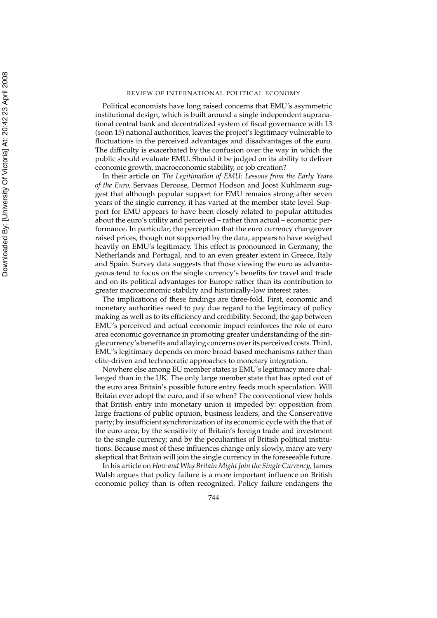### REVIEW OF INTERNATIONAL POLITICAL ECONOMY

Political economists have long raised concerns that EMU's asymmetric institutional design, which is built around a single independent supranational central bank and decentralized system of fiscal governance with 13 (soon 15) national authorities, leaves the project's legitimacy vulnerable to fluctuations in the perceived advantages and disadvantages of the euro. The difficulty is exacerbated by the confusion over the way in which the public should evaluate EMU. Should it be judged on its ability to deliver economic growth, macroeconomic stability, or job creation?

In their article on *The Legitimation of EMU: Lessons from the Early Years of the Euro,* Servaas Deroose, Dermot Hodson and Joost Kuhlmann suggest that although popular support for EMU remains strong after seven years of the single currency, it has varied at the member state level. Support for EMU appears to have been closely related to popular attitudes about the euro's utility and perceived – rather than actual – economic performance. In particular, the perception that the euro currency changeover raised prices, though not supported by the data, appears to have weighed heavily on EMU's legitimacy. This effect is pronounced in Germany, the Netherlands and Portugal, and to an even greater extent in Greece, Italy and Spain. Survey data suggests that those viewing the euro as advantageous tend to focus on the single currency's benefits for travel and trade and on its political advantages for Europe rather than its contribution to greater macroeconomic stability and historically-low interest rates.

The implications of these findings are three-fold. First, economic and monetary authorities need to pay due regard to the legitimacy of policy making as well as to its efficiency and credibility. Second, the gap between EMU's perceived and actual economic impact reinforces the role of euro area economic governance in promoting greater understanding of the single currency's benefits and allaying concerns over its perceived costs. Third, EMU's legitimacy depends on more broad-based mechanisms rather than elite-driven and technocratic approaches to monetary integration.

Nowhere else among EU member states is EMU's legitimacy more challenged than in the UK. The only large member state that has opted out of the euro area Britain's possible future entry feeds much speculation. Will Britain ever adopt the euro, and if so when? The conventional view holds that British entry into monetary union is impeded by: opposition from large fractions of public opinion, business leaders, and the Conservative party; by insufficient synchronization of its economic cycle with the that of the euro area; by the sensitivity of Britain's foreign trade and investment to the single currency; and by the peculiarities of British political institutions. Because most of these influences change only slowly, many are very skeptical that Britain will join the single currency in the foreseeable future.

In his article on *How and Why Britain Might Join the Single Currency,* James Walsh argues that policy failure is a more important influence on British economic policy than is often recognized. Policy failure endangers the